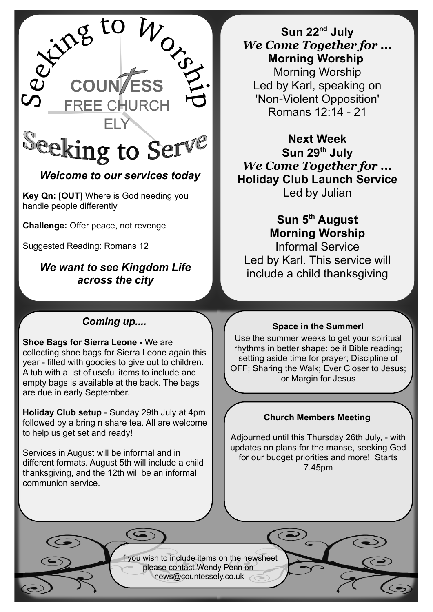

## *Welcome to our services today*

**Key Qn: [OUT]** Where is God needing you handle people differently

**Challenge:** Offer peace, not revenge

Suggested Reading: Romans 12

## *We want to see Kingdom Life across the city*

## **Sun 22nd July** *We Come Together for ...* **Morning Worship**  Morning Worship Led by Karl, speaking on 'Non-Violent Opposition' Romans 12:14 - 21

**Next Week Sun 29th July** *We Come Together for ...* **Holiday Club Launch Service** Led by Julian

# **Sun 5th August Morning Worship**

Informal Service Led by Karl. This service will include a child thanksgiving

### *Coming up....*

**Shoe Bags for Sierra Leone -** We are collecting shoe bags for Sierra Leone again this year - filled with goodies to give out to children. A tub with a list of useful items to include and empty bags is available at the back. The bags are due in early September.

**Holiday Club setup** - Sunday 29th July at 4pm followed by a bring n share tea. All are welcome to help us get set and ready!

Services in August will be informal and in different formats. August 5th will include a child thanksgiving, and the 12th will be an informal communion service.

#### **Space in the Summer!**

Use the summer weeks to get your spiritual rhythms in better shape: be it Bible reading; setting aside time for prayer; Discipline of OFF; Sharing the Walk; Ever Closer to Jesus; or Margin for Jesus

#### **Church Members Meeting**

Adjourned until this Thursday 26th July, - with updates on plans for the manse, seeking God for our budget priorities and more! Starts 7.45pm

If you wish to include items on the newsheet please contact Wendy Penn on [news@countessely.co.uk](mailto:news@countessely.co.uk)